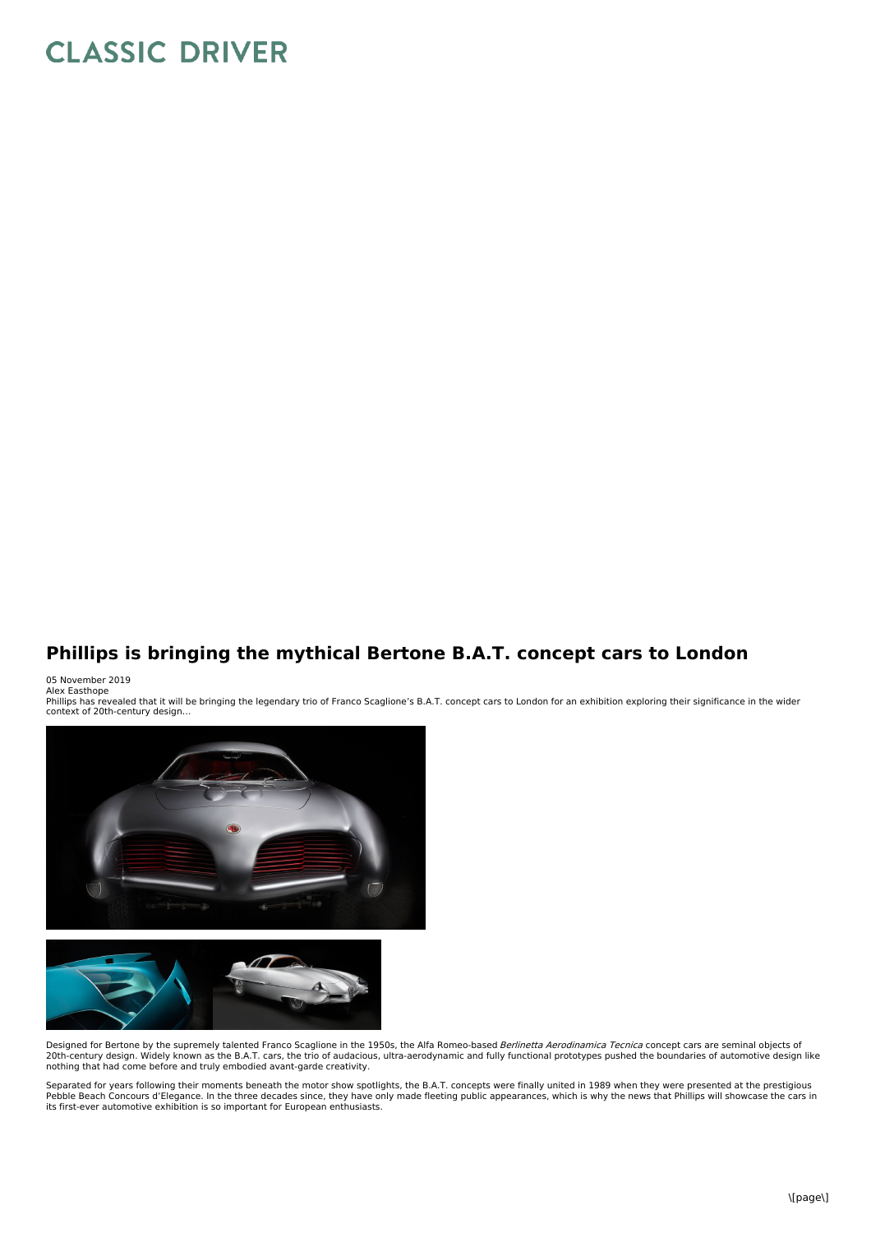## **CLASSIC DRIVER**

## **Phillips is bringing the mythical Bertone B.A.T. concept cars to London**

05 November 2019<br>Alex Easthope

Phillips has revealed that it will be bringing the legendary trio of Franco Scaglione's B.A.T. concept cars to London for an exhibition exploring their significance in the wider context of 20th-century design…





Designed for Bertone by the supremely talented Franco Scaglione in the 1950s, the Alfa Romeo-based Berlinetta Aerodinamica Tecnica concept cars are seminal objects of 20th-century design. Widely known as the B.A.T. cars, the trio of audacious, ultra-aerodynamic and fully functional prototypes pushed the boundaries of automotive design like<br>nothing that had come before and truly embodied

Separated for years following their moments beneath the motor show spotlights, the B.A.T. concepts were finally united in 1989 when they were presented at the prestigious<br>Pebble Beach Concours d'Elegance. In the three deca